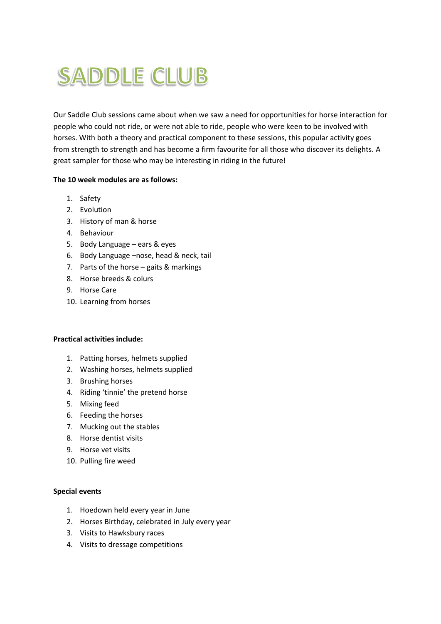## **SADDLE CLUB**

Our Saddle Club sessions came about when we saw a need for opportunities for horse interaction for people who could not ride, or were not able to ride, people who were keen to be involved with horses. With both a theory and practical component to these sessions, this popular activity goes from strength to strength and has become a firm favourite for all those who discover its delights. A great sampler for those who may be interesting in riding in the future!

## **The 10 week modules are as follows:**

- 1. Safety
- 2. Evolution
- 3. History of man & horse
- 4. Behaviour
- 5. Body Language ears & eyes
- 6. Body Language –nose, head & neck, tail
- 7. Parts of the horse gaits & markings
- 8. Horse breeds & colurs
- 9. Horse Care
- 10. Learning from horses

## **Practical activities include:**

- 1. Patting horses, helmets supplied
- 2. Washing horses, helmets supplied
- 3. Brushing horses
- 4. Riding 'tinnie' the pretend horse
- 5. Mixing feed
- 6. Feeding the horses
- 7. Mucking out the stables
- 8. Horse dentist visits
- 9. Horse vet visits
- 10. Pulling fire weed

## **Special events**

- 1. Hoedown held every year in June
- 2. Horses Birthday, celebrated in July every year
- 3. Visits to Hawksbury races
- 4. Visits to dressage competitions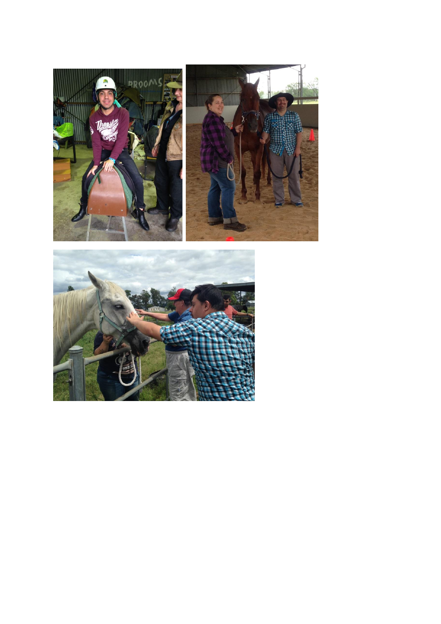